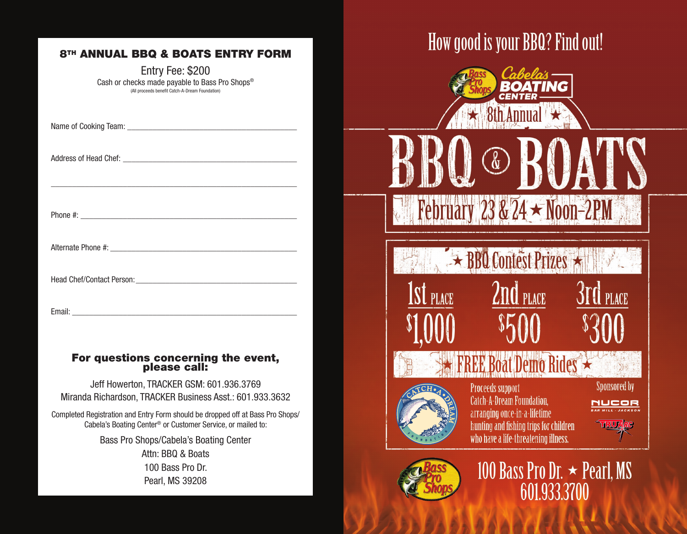#### **8TH ANNUAL BBQ & BOATS ENTRY FORM**

Entry Fee: \$200 Cash or checks made payable to Bass Pro Shops® (All proceeds benefit Catch-A-Dream Foundation)

\_\_\_\_\_\_\_\_\_\_\_\_\_\_\_\_\_\_\_\_\_\_\_\_\_\_\_\_\_\_\_\_\_\_\_\_\_\_\_\_\_\_\_\_\_\_\_\_\_\_\_\_\_\_\_\_\_\_

Name of Cooking Team: \_\_\_\_\_\_\_\_\_\_\_\_\_\_\_\_\_\_\_\_\_\_\_\_\_\_\_\_\_\_\_\_\_\_\_\_\_\_\_\_

Address of Head Chef: \_\_\_\_\_\_\_\_\_\_\_\_\_\_\_\_\_\_\_\_\_\_\_\_\_\_\_\_\_\_\_\_\_\_\_\_\_\_\_\_\_

Phone #: \_\_\_\_\_\_\_\_\_\_\_\_\_\_\_\_\_\_\_\_\_\_\_\_\_\_\_\_\_\_\_\_\_\_\_\_\_\_\_\_\_\_\_\_\_\_\_\_\_\_\_

Alternate Phone #: \_\_\_\_\_\_\_\_\_\_\_\_\_\_\_\_\_\_\_\_\_\_\_\_\_\_\_\_\_\_\_\_\_\_\_\_\_\_\_\_\_\_\_\_

Head Chef/Contact Person: <u>example</u> and the set of the set of the set of the set of the set of the set of the set of the set of the set of the set of the set of the set of the set of the set of the set of the set of the se

Email:  $\blacksquare$ 

## For questions concerning the event, please call:

Jeff Howerton, TRACKER GSM: 601.936.3769 Miranda Richardson, TRACKER Business Asst.: 601.933.3632

Completed Registration and Entry Form should be dropped off at Bass Pro Shops/ Cabela's Boating Center® or Customer Service, or mailed to:

> Bass Pro Shops/Cabela's Boating Center Attn: BBQ & Boats 100 Bass Pro Dr.

Pearl, MS 39208

# How good is your BBQ? Find out!



February 23 &  $24 \star$  Noon-2PM

**Ex BBQ Contest Prizes** 

2nd PLACE



**St** place

Proceeds support **Catch-A-Dream Foundation.** arranging once-in-a-lifetime hunting and fishing trips for children who have a life-threatening illness.

Sponsored by

**I** PLACE

**NUCOR** 





100 Bass Pro Dr.  $\star$  Pearl, MS 601.933.3700